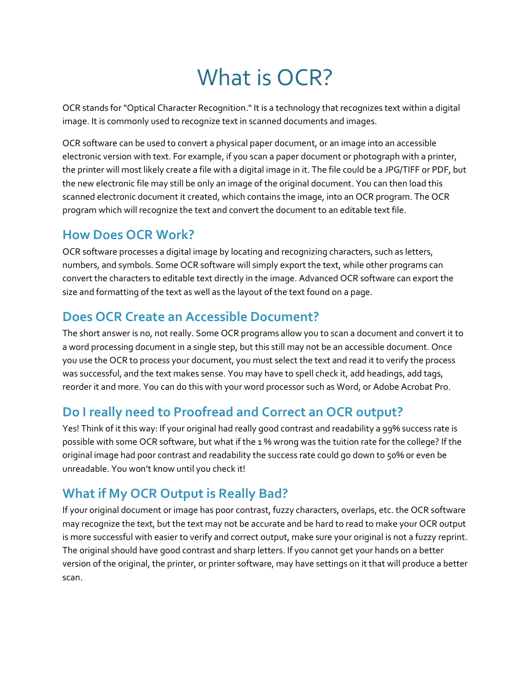# What is OCR?

OCR stands for "Optical Character Recognition." It is a technology that recognizes text within a digital image. It is commonly used to recognize text in scanned documents and images.

OCR software can be used to convert a physical paper document, or an image into an accessible electronic version with text. For example, if you scan a paper document or photograph with a printer, the printer will most likely create a file with a digital image in it. The file could be a JPG/TIFF or PDF, but the new electronic file may still be only an image of the original document. You can then load this scanned electronic document it created, which contains the image, into an OCR program. The OCR program which will recognize the text and convert the document to an editable text file.

#### **How Does OCR Work?**

OCR software processes a digital image by locating and recognizing characters, such as letters, numbers, and symbols. Some OCR software will simply export the text, while other programs can convert the characters to editable text directly in the image. Advanced OCR software can export the size and formatting of the text as well as the layout of the text found on a page.

#### **Does OCR Create an Accessible Document?**

The short answer is no, not really. Some OCR programs allow you to scan a document and convert it to a word processing document in a single step, but this still may not be an accessible document. Once you use the OCR to process your document, you must select the text and read it to verify the process was successful, and the text makes sense. You may have to spell check it, add headings, add tags, reorder it and more. You can do this with your word processor such as Word, or Adobe Acrobat Pro.

## **Do I really need to Proofread and Correct an OCR output?**

Yes! Think of it this way: If your original had really good contrast and readability a 99% success rate is possible with some OCR software, but what if the 1 % wrong was the tuition rate for the college? If the original image had poor contrast and readability the success rate could go down to 50% or even be unreadable. You won't know until you check it!

## **What if My OCR Output is Really Bad?**

If your original document or image has poor contrast, fuzzy characters, overlaps, etc. the OCR software may recognize the text, but the text may not be accurate and be hard to read to make your OCR output is more successful with easier to verify and correct output, make sure your original is not a fuzzy reprint. The original should have good contrast and sharp letters. If you cannot get your hands on a better version of the original, the printer, or printer software, may have settings on it that will produce a better scan.